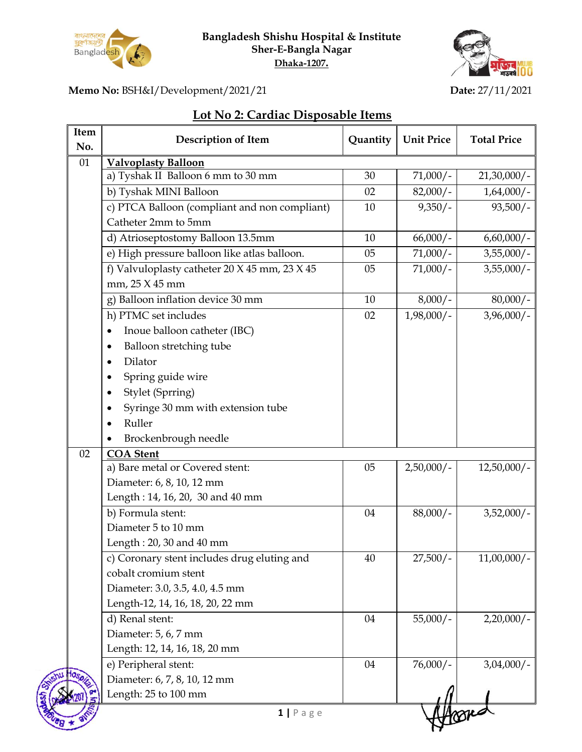

**Bangladesh Shishu Hospital & Institute Sher-E-Bangla Nagar Dhaka-1207.**



Ŋ

**Memo No:** BSH&I/Development/2021/21 **Date:** 27/11/2021

## **Lot No 2: Cardiac Disposable Items**

| Item<br>No. | <b>Description of Item</b>                    | Quantity | <b>Unit Price</b> | <b>Total Price</b> |
|-------------|-----------------------------------------------|----------|-------------------|--------------------|
| 01          | <b>Valvoplasty Balloon</b>                    |          |                   |                    |
|             | a) Tyshak II Balloon 6 mm to 30 mm            | 30       | $71,000/-$        | $21,30,000/$ -     |
|             | b) Tyshak MINI Balloon                        | 02       | $82,000/-$        | $1,64,000/$ -      |
|             | c) PTCA Balloon (compliant and non compliant) | 10       | $9,350/-$         | $93,500/-$         |
|             | Catheter 2mm to 5mm                           |          |                   |                    |
|             | d) Atrioseptostomy Balloon 13.5mm             | 10       | $66,000/-$        | $6,60,000/$ -      |
|             | e) High pressure balloon like atlas balloon.  | 05       | $71,000/-$        | $3,55,000/$ -      |
|             | f) Valvuloplasty catheter 20 X 45 mm, 23 X 45 | 05       | $71,000/-$        | $3,55,000/$ -      |
|             | mm, 25 X 45 mm                                |          |                   |                    |
|             | g) Balloon inflation device 30 mm             | 10       | $8,000/-$         | $80,000/-$         |
|             | h) PTMC set includes                          | 02       | $1,98,000/$ -     | $3,96,000/$ -      |
|             | Inoue balloon catheter (IBC)<br>$\bullet$     |          |                   |                    |
|             | Balloon stretching tube                       |          |                   |                    |
|             | Dilator                                       |          |                   |                    |
|             | Spring guide wire                             |          |                   |                    |
|             | Stylet (Sprring)                              |          |                   |                    |
|             | Syringe 30 mm with extension tube             |          |                   |                    |
|             | Ruller                                        |          |                   |                    |
|             | Brockenbrough needle                          |          |                   |                    |
| 02          | <b>COA</b> Stent                              |          |                   |                    |
|             | a) Bare metal or Covered stent:               | 05       | $2,50,000/$ -     | $12,50,000/$ -     |
|             | Diameter: 6, 8, 10, 12 mm                     |          |                   |                    |
|             | Length: 14, 16, 20, 30 and 40 mm              |          |                   |                    |
|             | b) Formula stent:                             | 04       | $88,000/-$        | $3,52,000/-$       |
|             | Diameter 5 to 10 mm                           |          |                   |                    |
|             | Length: 20, 30 and 40 mm                      |          |                   |                    |
|             | c) Coronary stent includes drug eluting and   | 40       | $27,500/-$        | $11,00,000/$ -     |
|             | cobalt cromium stent                          |          |                   |                    |
|             | Diameter: 3.0, 3.5, 4.0, 4.5 mm               |          |                   |                    |
|             | Length-12, 14, 16, 18, 20, 22 mm              |          |                   |                    |
|             | d) Renal stent:                               | 04       | $55,000/-$        | 2,20,000/          |
|             | Diameter: 5, 6, 7 mm                          |          |                   |                    |
|             | Length: 12, 14, 16, 18, 20 mm                 |          |                   |                    |
|             | e) Peripheral stent:                          | 04       | $76,000/-$        | $3,04,000/$ -      |
|             | Diameter: 6, 7, 8, 10, 12 mm                  |          |                   |                    |
|             | Length: 25 to 100 mm                          |          |                   |                    |
|             | $1   P \text{age}$                            |          |                   |                    |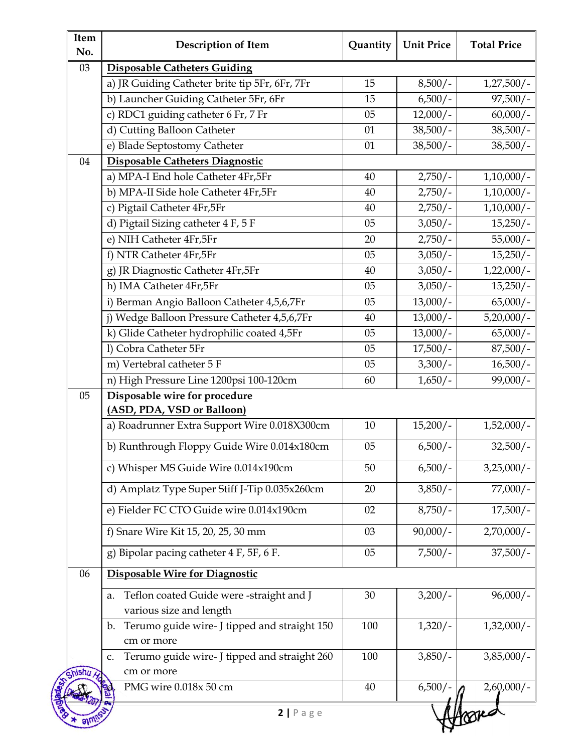| Item<br>No. | <b>Description of Item</b>                                                   | Quantity | <b>Unit Price</b>  | <b>Total Price</b> |
|-------------|------------------------------------------------------------------------------|----------|--------------------|--------------------|
| 03          | <b>Disposable Catheters Guiding</b>                                          |          |                    |                    |
|             | a) JR Guiding Catheter brite tip 5Fr, 6Fr, 7Fr                               | 15       | $8,500/-$          | $1,27,500/-$       |
|             | b) Launcher Guiding Catheter 5Fr, 6Fr                                        | 15       | $6,500/-$          | $97,500/-$         |
|             | c) RDC1 guiding catheter 6 Fr, 7 Fr                                          | 05       | $12,000/-$         | $60,000/-$         |
|             | d) Cutting Balloon Catheter                                                  | 01       | $\frac{38,500}{-}$ | $38,500/-$         |
|             | e) Blade Septostomy Catheter                                                 | 01       | $38,500/-$         | $38,500/-$         |
| 04          | Disposable Catheters Diagnostic                                              |          |                    |                    |
|             | a) MPA-I End hole Catheter 4Fr,5Fr                                           | 40       | $2,750/-$          | $1,10,000/$ -      |
|             | b) MPA-II Side hole Catheter 4Fr,5Fr                                         | 40       | $2,750/-$          | $1,10,000/$ -      |
|             | c) Pigtail Catheter 4Fr,5Fr                                                  | 40       | $2,750/-$          | $1,10,000/$ -      |
|             | d) Pigtail Sizing catheter 4 F, 5 F                                          | 05       | $3,050/-$          | $15,250/-$         |
|             | e) NIH Catheter 4Fr,5Fr                                                      | 20       | $2,750/-$          | $55,000/-$         |
|             | f) NTR Catheter 4Fr,5Fr                                                      | 05       | $3,050/-$          | $15,250/-$         |
|             | g) JR Diagnostic Catheter 4Fr,5Fr                                            | 40       | $3,050/-$          | $1,22,000/-$       |
|             | h) IMA Catheter 4Fr,5Fr                                                      | 05       | $3,050/-$          | $15,250/-$         |
|             | i) Berman Angio Balloon Catheter 4,5,6,7Fr                                   | 05       | $13,000/-$         | $65,000/-$         |
|             | j) Wedge Balloon Pressure Catheter 4,5,6,7Fr                                 | 40       | $13,000/-$         | $5,20,000/-$       |
|             | k) Glide Catheter hydrophilic coated 4,5Fr                                   | 05       | $13,000/-$         | $65,000/-$         |
|             | l) Cobra Catheter 5Fr                                                        | 05       | $17,500/-$         | $87,500/-$         |
|             | m) Vertebral catheter 5 F                                                    | 05       | $3,300/-$          | $16,500/-$         |
|             | n) High Pressure Line 1200psi 100-120cm                                      | 60       | $1,650/-$          | $99,000/-$         |
| 05          | Disposable wire for procedure<br>(ASD, PDA, VSD or Balloon)                  |          |                    |                    |
|             | a) Roadrunner Extra Support Wire 0.018X300cm                                 | 10       | $15,200/-$         | $1,52,000/-$       |
|             | b) Runthrough Floppy Guide Wire 0.014x180cm                                  | 05       | $6,500/-$          | $32,500/-$         |
|             | c) Whisper MS Guide Wire 0.014x190cm                                         | 50       | $6,500/-$          | $3,25,000/-$       |
|             | d) Amplatz Type Super Stiff J-Tip 0.035x260cm                                | 20       | $3,850/-$          | $77,000/-$         |
|             | e) Fielder FC CTO Guide wire 0.014x190cm                                     | 02       | $8,750/-$          | $17,500/-$         |
|             | f) Snare Wire Kit 15, 20, 25, 30 mm                                          | 03       | $90,000/-$         | $2,70,000/$ -      |
|             | g) Bipolar pacing catheter 4 F, 5F, 6 F.                                     | 05       | $7,500/-$          | $37,500/-$         |
| 06          | Disposable Wire for Diagnostic                                               |          |                    |                    |
|             | Teflon coated Guide were -straight and J<br>a.<br>various size and length    | 30       | $3,200/-$          | $96,000/-$         |
|             | Terumo guide wire- J tipped and straight 150<br>$\mathbf{b}$ .<br>cm or more | 100      | $1,320/-$          | $1,32,000/-$       |
|             | Terumo guide wire- J tipped and straight 260<br>c.<br>cm or more             | 100      | $3,850/-$          | $3,85,000/$ -      |
|             | PMG wire 0.018x 50 cm                                                        | 40       | $6,500/-$          | $2,60,000/-$       |

thro.